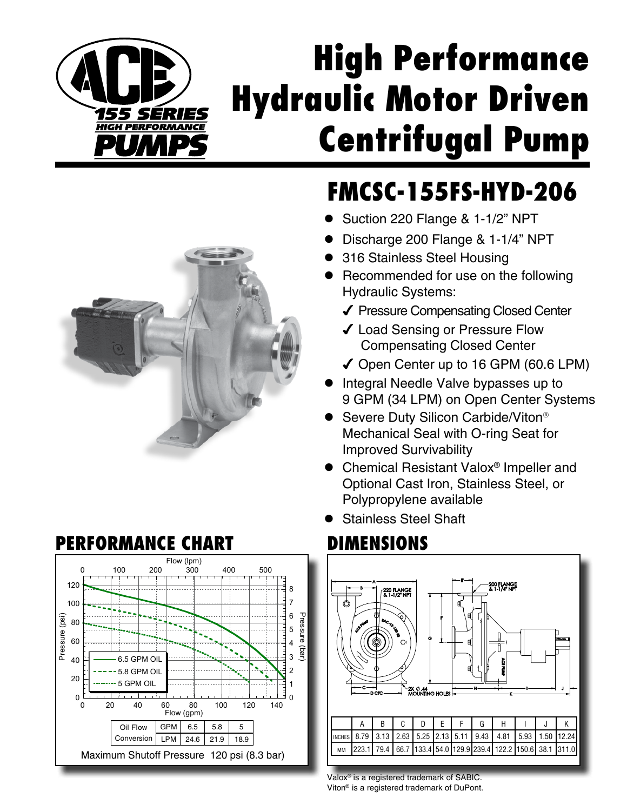

## **High Performance Hydraulic Motor Driven Centrifugal Pump**

## **FMCSC-155FS-HYD-206**

- Suction 220 Flange & 1-1/2" NPT
- Discharge 200 Flange & 1-1/4" NPT
- 316 Stainless Steel Housing
- Recommended for use on the following Hydraulic Systems:
	- ◆ Pressure Compensating Closed Center
	- ◆ Load Sensing or Pressure Flow Compensating Closed Center
	- ◆ Open Center up to 16 GPM (60.6 LPM)
- Integral Needle Valve bypasses up to 9 GPM (34 LPM) on Open Center Systems
- Severe Duty Silicon Carbide/Viton<sup>®</sup> Mechanical Seal with O-ring Seat for Improved Survivability
- Chemical Resistant Valox<sup>®</sup> Impeller and Optional Cast Iron, Stainless Steel, or Polypropylene available
- Stainless Steel Shaft



Valox® is a registered trademark of SABIC. Viton® is a registered trademark of DuPont.



## **PERFORMANCE CHART DIMENSIONS**